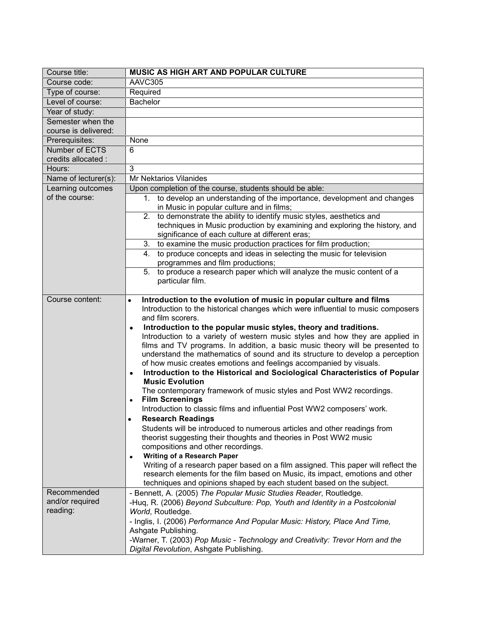| Course title:                             | <b>MUSIC AS HIGH ART AND POPULAR CULTURE</b>                                                                                                                                                                                                                                                                                                                                                                                                                                                                                                                                                                                                                                                                                                                                                                                                                                                                                                                                                                                                                                                                                                                                                                                                                                                                                                                                                                                               |
|-------------------------------------------|--------------------------------------------------------------------------------------------------------------------------------------------------------------------------------------------------------------------------------------------------------------------------------------------------------------------------------------------------------------------------------------------------------------------------------------------------------------------------------------------------------------------------------------------------------------------------------------------------------------------------------------------------------------------------------------------------------------------------------------------------------------------------------------------------------------------------------------------------------------------------------------------------------------------------------------------------------------------------------------------------------------------------------------------------------------------------------------------------------------------------------------------------------------------------------------------------------------------------------------------------------------------------------------------------------------------------------------------------------------------------------------------------------------------------------------------|
| Course code:                              | AAVC305                                                                                                                                                                                                                                                                                                                                                                                                                                                                                                                                                                                                                                                                                                                                                                                                                                                                                                                                                                                                                                                                                                                                                                                                                                                                                                                                                                                                                                    |
| Type of course:                           | Required                                                                                                                                                                                                                                                                                                                                                                                                                                                                                                                                                                                                                                                                                                                                                                                                                                                                                                                                                                                                                                                                                                                                                                                                                                                                                                                                                                                                                                   |
| Level of course:                          | <b>Bachelor</b>                                                                                                                                                                                                                                                                                                                                                                                                                                                                                                                                                                                                                                                                                                                                                                                                                                                                                                                                                                                                                                                                                                                                                                                                                                                                                                                                                                                                                            |
| Year of study:                            |                                                                                                                                                                                                                                                                                                                                                                                                                                                                                                                                                                                                                                                                                                                                                                                                                                                                                                                                                                                                                                                                                                                                                                                                                                                                                                                                                                                                                                            |
| Semester when the<br>course is delivered: |                                                                                                                                                                                                                                                                                                                                                                                                                                                                                                                                                                                                                                                                                                                                                                                                                                                                                                                                                                                                                                                                                                                                                                                                                                                                                                                                                                                                                                            |
| Prerequisites:                            | None                                                                                                                                                                                                                                                                                                                                                                                                                                                                                                                                                                                                                                                                                                                                                                                                                                                                                                                                                                                                                                                                                                                                                                                                                                                                                                                                                                                                                                       |
| Number of ECTS<br>credits allocated :     | $\overline{6}$                                                                                                                                                                                                                                                                                                                                                                                                                                                                                                                                                                                                                                                                                                                                                                                                                                                                                                                                                                                                                                                                                                                                                                                                                                                                                                                                                                                                                             |
| Hours:                                    | 3                                                                                                                                                                                                                                                                                                                                                                                                                                                                                                                                                                                                                                                                                                                                                                                                                                                                                                                                                                                                                                                                                                                                                                                                                                                                                                                                                                                                                                          |
| Name of lecturer(s):                      | Mr Nektarios Vilanides                                                                                                                                                                                                                                                                                                                                                                                                                                                                                                                                                                                                                                                                                                                                                                                                                                                                                                                                                                                                                                                                                                                                                                                                                                                                                                                                                                                                                     |
| Learning outcomes                         | Upon completion of the course, students should be able:                                                                                                                                                                                                                                                                                                                                                                                                                                                                                                                                                                                                                                                                                                                                                                                                                                                                                                                                                                                                                                                                                                                                                                                                                                                                                                                                                                                    |
| of the course:                            | 1. to develop an understanding of the importance, development and changes<br>in Music in popular culture and in films;                                                                                                                                                                                                                                                                                                                                                                                                                                                                                                                                                                                                                                                                                                                                                                                                                                                                                                                                                                                                                                                                                                                                                                                                                                                                                                                     |
|                                           | 2. to demonstrate the ability to identify music styles, aesthetics and<br>techniques in Music production by examining and exploring the history, and<br>significance of each culture at different eras;                                                                                                                                                                                                                                                                                                                                                                                                                                                                                                                                                                                                                                                                                                                                                                                                                                                                                                                                                                                                                                                                                                                                                                                                                                    |
|                                           | 3. to examine the music production practices for film production;                                                                                                                                                                                                                                                                                                                                                                                                                                                                                                                                                                                                                                                                                                                                                                                                                                                                                                                                                                                                                                                                                                                                                                                                                                                                                                                                                                          |
|                                           | to produce concepts and ideas in selecting the music for television<br>4.<br>programmes and film productions;                                                                                                                                                                                                                                                                                                                                                                                                                                                                                                                                                                                                                                                                                                                                                                                                                                                                                                                                                                                                                                                                                                                                                                                                                                                                                                                              |
|                                           | 5. to produce a research paper which will analyze the music content of a<br>particular film.                                                                                                                                                                                                                                                                                                                                                                                                                                                                                                                                                                                                                                                                                                                                                                                                                                                                                                                                                                                                                                                                                                                                                                                                                                                                                                                                               |
| Course content:                           | Introduction to the evolution of music in popular culture and films<br>$\bullet$<br>Introduction to the historical changes which were influential to music composers<br>and film scorers.<br>Introduction to the popular music styles, theory and traditions.<br>$\bullet$<br>Introduction to a variety of western music styles and how they are applied in<br>films and TV programs. In addition, a basic music theory will be presented to<br>understand the mathematics of sound and its structure to develop a perception<br>of how music creates emotions and feelings accompanied by visuals.<br>Introduction to the Historical and Sociological Characteristics of Popular<br>$\bullet$<br><b>Music Evolution</b><br>The contemporary framework of music styles and Post WW2 recordings.<br><b>Film Screenings</b><br>$\bullet$<br>Introduction to classic films and influential Post WW2 composers' work.<br><b>Research Readings</b><br>٠<br>Students will be introduced to numerous articles and other readings from<br>theorist suggesting their thoughts and theories in Post WW2 music<br>compositions and other recordings.<br><b>Writing of a Research Paper</b><br>$\bullet$<br>Writing of a research paper based on a film assigned. This paper will reflect the<br>research elements for the film based on Music, its impact, emotions and other<br>techniques and opinions shaped by each student based on the subject. |
| Recommended                               | - Bennett, A. (2005) The Popular Music Studies Reader, Routledge.                                                                                                                                                                                                                                                                                                                                                                                                                                                                                                                                                                                                                                                                                                                                                                                                                                                                                                                                                                                                                                                                                                                                                                                                                                                                                                                                                                          |
| and/or required                           | -Hug, R. (2006) Beyond Subculture: Pop, Youth and Identity in a Postcolonial                                                                                                                                                                                                                                                                                                                                                                                                                                                                                                                                                                                                                                                                                                                                                                                                                                                                                                                                                                                                                                                                                                                                                                                                                                                                                                                                                               |
| reading:                                  | World, Routledge.                                                                                                                                                                                                                                                                                                                                                                                                                                                                                                                                                                                                                                                                                                                                                                                                                                                                                                                                                                                                                                                                                                                                                                                                                                                                                                                                                                                                                          |
|                                           | - Inglis, I. (2006) Performance And Popular Music: History, Place And Time,                                                                                                                                                                                                                                                                                                                                                                                                                                                                                                                                                                                                                                                                                                                                                                                                                                                                                                                                                                                                                                                                                                                                                                                                                                                                                                                                                                |
|                                           | Ashgate Publishing.                                                                                                                                                                                                                                                                                                                                                                                                                                                                                                                                                                                                                                                                                                                                                                                                                                                                                                                                                                                                                                                                                                                                                                                                                                                                                                                                                                                                                        |
|                                           | -Warner, T. (2003) Pop Music - Technology and Creativity: Trevor Horn and the<br>Digital Revolution, Ashgate Publishing.                                                                                                                                                                                                                                                                                                                                                                                                                                                                                                                                                                                                                                                                                                                                                                                                                                                                                                                                                                                                                                                                                                                                                                                                                                                                                                                   |